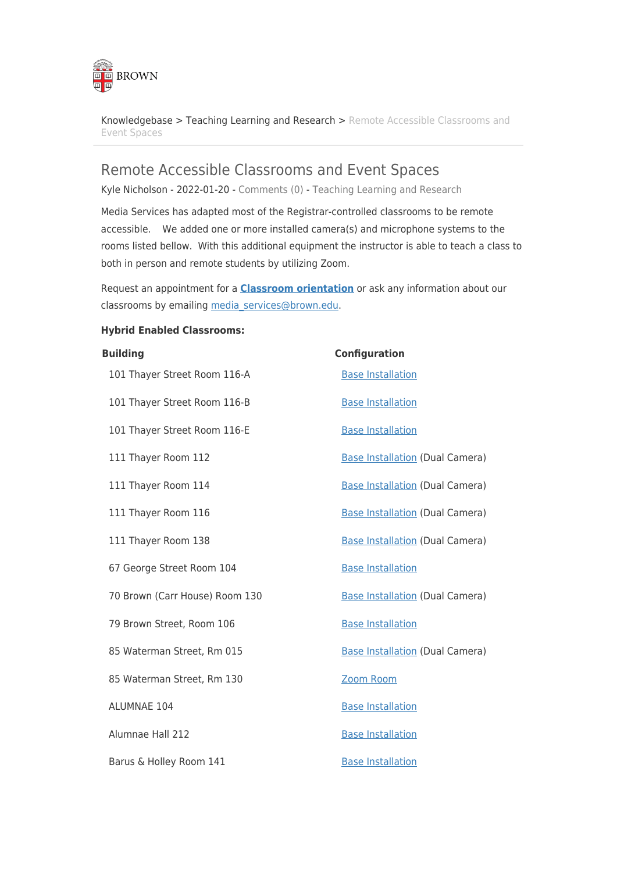

[Knowledgebase](https://ithelp.brown.edu/kb) > [Teaching Learning and Research](https://ithelp.brown.edu/kb/teaching-learning-and-research) > [Remote Accessible Classrooms and](https://ithelp.brown.edu/kb/articles/remote-accessible-classrooms-and-event-spaces) [Event Spaces](https://ithelp.brown.edu/kb/articles/remote-accessible-classrooms-and-event-spaces)

### Remote Accessible Classrooms and Event Spaces

Kyle Nicholson - 2022-01-20 - [Comments \(0\)](#page--1-0) - [Teaching Learning and Research](https://ithelp.brown.edu/kb/teaching-learning-and-research)

Media Services has adapted most of the Registrar-controlled classrooms to be remote accessible. We added one or more installed camera(s) and microphone systems to the rooms listed bellow. With this additional equipment the instructor is able to teach a class to both in person and remote students by utilizing Zoom.

Request an appointment for a **[Classroom orientation](https://forms.gle/cGHyhSbVhAd2ezL7A)** or ask any information about our classrooms by emailing [media\\_services@brown.edu.](mailto:media_services@brown.edu)

#### **Hybrid Enabled Classrooms:**

# **Building Configuration**  101 Thayer Street Room 116-A [Base Installation](https://ithelp.brown.edu/kb/articles/hybrid-teaching-base-installation) 101 Thayer Street Room 116-B [Base Installation](https://ithelp.brown.edu/kb/articles/hybrid-teaching-base-installation) 101 Thayer Street Room 116-E [Base Installation](https://ithelp.brown.edu/kb/articles/hybrid-teaching-base-installation) 111 Thayer Room 112 **[Base Installation](https://ithelp.brown.edu/kb/articles/hybrid-teaching-base-installation) (Dual Camera)** 111 Thayer Room 114 [Base Installation](https://ithelp.brown.edu/kb/articles/hybrid-teaching-base-installation) (Dual Camera) 111 Thayer Room 116 [Base Installation](https://ithelp.brown.edu/kb/articles/hybrid-teaching-base-installation) (Dual Camera) 111 Thayer Room 138 **[Base Installation](https://ithelp.brown.edu/kb/articles/hybrid-teaching-base-installation) (Dual Camera)** Base Installation (Dual Camera) 67 George Street Room 104 [Base Installation](https://ithelp.brown.edu/kb/articles/hybrid-teaching-base-installation) 70 Brown (Carr House) Room 130 [Base Installation](https://ithelp.brown.edu/kb/articles/hybrid-teaching-base-installation) (Dual Camera) 79 Brown Street, Room 106 [Base Installation](https://ithelp.brown.edu/kb/articles/hybrid-teaching-base-installation) 85 Waterman Street, Rm 015 [Base Installation](https://ithelp.brown.edu/kb/articles/hybrid-teaching-base-installation) (Dual Camera) 85 Waterman Street, Rm 130 [Zoom Room](https://ithelp.brown.edu/kb/articles/hybrid-teaching-zoom-room) ALUMNAE 104 [Base Installation](https://ithelp.brown.edu/kb/articles/hybrid-teaching-base-installation) Alumnae Hall 212 **[Base Installation](https://ithelp.brown.edu/kb/articles/hybrid-teaching-base-installation)** Barus & Holley Room 141 [Base Installation](https://ithelp.brown.edu/kb/articles/hybrid-teaching-base-installation)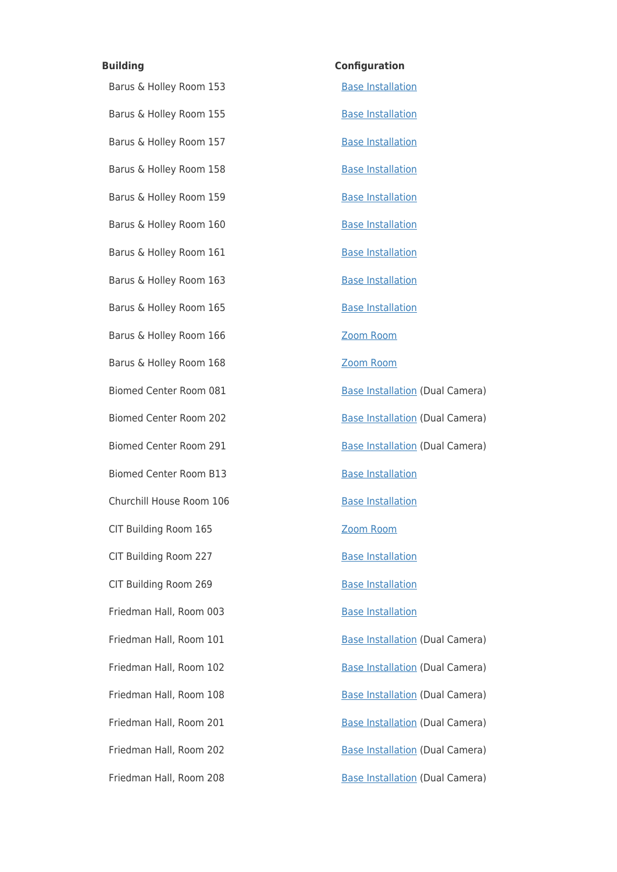# **Building Configuration**  Barus & Holley Room 153 [Base Installation](https://ithelp.brown.edu/kb/articles/hybrid-teaching-base-installation) Barus & Holley Room 155 [Base Installation](https://ithelp.brown.edu/kb/articles/hybrid-teaching-base-installation) Barus & Holley Room 157 [Base Installation](https://ithelp.brown.edu/kb/articles/hybrid-teaching-base-installation) Barus & Holley Room 158 [Base Installation](https://ithelp.brown.edu/kb/articles/hybrid-teaching-base-installation) Barus & Holley Room 159 [Base Installation](https://ithelp.brown.edu/kb/articles/hybrid-teaching-base-installation) Barus & Holley Room 160 [Base Installation](https://ithelp.brown.edu/kb/articles/hybrid-teaching-base-installation) Barus & Holley Room 161 [Base Installation](https://ithelp.brown.edu/kb/articles/hybrid-teaching-base-installation) Barus & Holley Room 163 [Base Installation](https://ithelp.brown.edu/kb/articles/hybrid-teaching-base-installation) Barus & Holley Room 165 [Base Installation](https://ithelp.brown.edu/kb/articles/hybrid-teaching-base-installation) Barus & Holley Room 166 [Zoom Room](https://ithelp.brown.edu/kb/articles/hybrid-teaching-zoom-room) Barus & Holley Room 168 [Zoom Room](https://ithelp.brown.edu/kb/articles/hybrid-teaching-zoom-room) Biomed Center Room 081 [Base Installation](https://ithelp.brown.edu/kb/articles/hybrid-teaching-base-installation) (Dual Camera) Biomed Center Room 202 [Base Installation](https://ithelp.brown.edu/kb/articles/hybrid-teaching-base-installation) (Dual Camera) Biomed Center Room 291 [Base Installation](https://ithelp.brown.edu/kb/articles/hybrid-teaching-base-installation) (Dual Camera) Biomed Center Room B13 [Base Installation](https://ithelp.brown.edu/kb/articles/hybrid-teaching-base-installation) Churchill House Room 106 [Base Installation](https://ithelp.brown.edu/kb/articles/hybrid-teaching-base-installation) CIT Building Room 165 [Zoom Room](https://ithelp.brown.edu/kb/articles/hybrid-teaching-zoom-room) CIT Building Room 227 [Base Installation](https://ithelp.brown.edu/kb/articles/hybrid-teaching-base-installation) CIT Building Room 269 [Base Installation](https://ithelp.brown.edu/kb/articles/hybrid-teaching-base-installation) Friedman Hall, Room 003 [Base Installation](https://ithelp.brown.edu/kb/articles/hybrid-teaching-base-installation) Friedman Hall, Room 101 [Base Installation](https://ithelp.brown.edu/kb/articles/hybrid-teaching-base-installation) (Dual Camera) Friedman Hall, Room 102 [Base Installation](https://ithelp.brown.edu/kb/articles/hybrid-teaching-base-installation) (Dual Camera) Friedman Hall, Room 108 [Base Installation](https://ithelp.brown.edu/kb/articles/hybrid-teaching-base-installation) (Dual Camera) Friedman Hall, Room 201 [Base Installation](https://ithelp.brown.edu/kb/articles/hybrid-teaching-base-installation) (Dual Camera) Friedman Hall, Room 202 [Base Installation](https://ithelp.brown.edu/kb/articles/hybrid-teaching-base-installation) (Dual Camera) Friedman Hall, Room 208 [Base Installation](https://ithelp.brown.edu/kb/articles/hybrid-teaching-base-installation) (Dual Camera)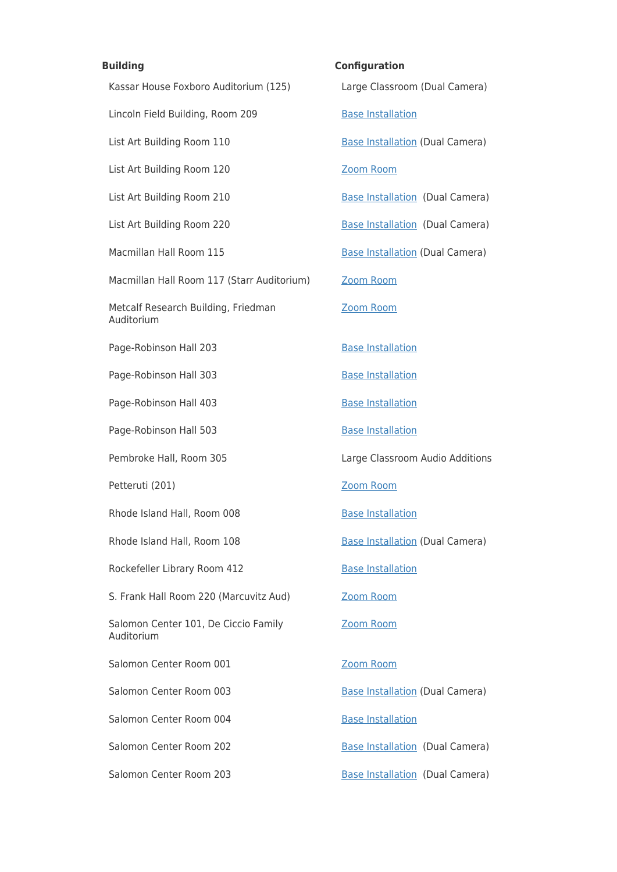Kassar House Foxboro Auditorium (125) Large Classroom (Dual Camera) Lincoln Field Building, Room 209 [Base Installation](https://ithelp.brown.edu/kb/articles/hybrid-teaching-base-installation) List Art Building Room 110 [Base Installation](https://ithelp.brown.edu/kb/articles/hybrid-teaching-base-installation) (Dual Camera) List Art Building Room 120 [Zoom Room](https://ithelp.brown.edu/kb/articles/hybrid-teaching-zoom-room) List Art Building Room 210 [Base Installation](https://ithelp.brown.edu/kb/articles/hybrid-teaching-base-installation) (Dual Camera) List Art Building Room 220 [Base Installation](https://ithelp.brown.edu/kb/articles/hybrid-teaching-base-installation) (Dual Camera) Macmillan Hall Room 115 [Base Installation](https://ithelp.brown.edu/kb/articles/hybrid-teaching-base-installation) (Dual Camera) Macmillan Hall Room 117 (Starr Auditorium) [Zoom Room](https://ithelp.brown.edu/kb/articles/hybrid-teaching-zoom-room) Metcalf Research Building, Friedman Auditorium Page-Robinson Hall 203 [Base Installation](https://ithelp.brown.edu/kb/articles/hybrid-teaching-base-installation) Page-Robinson Hall 303 [Base Installation](https://ithelp.brown.edu/kb/articles/hybrid-teaching-base-installation) Page-Robinson Hall 403 [Base Installation](https://ithelp.brown.edu/kb/articles/hybrid-teaching-base-installation) Page-Robinson Hall 503 [Base Installation](https://ithelp.brown.edu/kb/articles/hybrid-teaching-base-installation) Pembroke Hall, Room 305 Large Classroom Audio Additions Petteruti (201) The Communication of the Communication of the [Zoom Room](https://ithelp.brown.edu/kb/articles/hybrid-teaching-zoom-room) Rhode Island Hall, Room 008 [Base Installation](https://ithelp.brown.edu/kb/articles/hybrid-teaching-base-installation) Rhode Island Hall, Room 108 [Base Installation](https://ithelp.brown.edu/kb/articles/hybrid-teaching-base-installation) (Dual Camera) Rockefeller Library Room 412 [Base Installation](https://ithelp.brown.edu/kb/articles/hybrid-teaching-base-installation) S. Frank Hall Room 220 (Marcuvitz Aud) [Zoom Room](https://ithelp.brown.edu/kb/articles/hybrid-teaching-zoom-room) Salomon Center 101, De Ciccio Family Auditorium Salomon Center Room 001 [Zoom Room](https://ithelp.brown.edu/kb/articles/hybrid-teaching-zoom-room) Salomon Center Room 003 [Base Installation](https://ithelp.brown.edu/kb/articles/hybrid-teaching-base-installation) (Dual Camera) Salomon Center Room 004 [Base Installation](https://ithelp.brown.edu/kb/articles/hybrid-teaching-base-installation) Salomon Center Room 202 [Base Installation](https://ithelp.brown.edu/kb/articles/hybrid-teaching-base-installation) (Dual Camera) Salomon Center Room 203 [Base Installation](https://ithelp.brown.edu/kb/articles/hybrid-teaching-base-installation) (Dual Camera)

**Building Configuration**  [Zoom Room](https://ithelp.brown.edu/kb/articles/hybrid-teaching-zoom-room) [Zoom Room](https://ithelp.brown.edu/kb/articles/hybrid-teaching-zoom-room)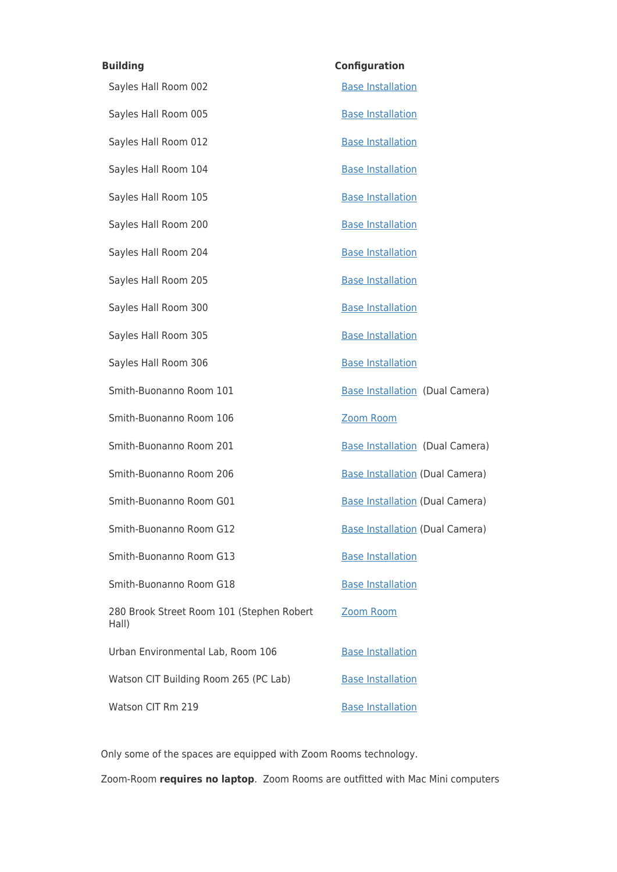| <b>Building</b>                                    | <b>Configuration</b>                   |
|----------------------------------------------------|----------------------------------------|
| Sayles Hall Room 002                               | <b>Base Installation</b>               |
| Sayles Hall Room 005                               | <b>Base Installation</b>               |
| Sayles Hall Room 012                               | <b>Base Installation</b>               |
| Sayles Hall Room 104                               | <b>Base Installation</b>               |
| Sayles Hall Room 105                               | <b>Base Installation</b>               |
| Sayles Hall Room 200                               | <b>Base Installation</b>               |
| Sayles Hall Room 204                               | <b>Base Installation</b>               |
| Sayles Hall Room 205                               | <b>Base Installation</b>               |
| Sayles Hall Room 300                               | <b>Base Installation</b>               |
| Sayles Hall Room 305                               | <b>Base Installation</b>               |
| Sayles Hall Room 306                               | <b>Base Installation</b>               |
| Smith-Buonanno Room 101                            | <b>Base Installation (Dual Camera)</b> |
| Smith-Buonanno Room 106                            | Zoom Room                              |
| Smith-Buonanno Room 201                            | <b>Base Installation (Dual Camera)</b> |
| Smith-Buonanno Room 206                            | <b>Base Installation (Dual Camera)</b> |
| Smith-Buonanno Room G01                            | <b>Base Installation (Dual Camera)</b> |
| Smith-Buonanno Room G12                            | <b>Base Installation (Dual Camera)</b> |
| Smith-Buonanno Room G13                            | <b>Base Installation</b>               |
| Smith-Buonanno Room G18                            | <b>Base Installation</b>               |
| 280 Brook Street Room 101 (Stephen Robert<br>Hall) | Zoom Room                              |
| Urban Environmental Lab, Room 106                  | <b>Base Installation</b>               |
| Watson CIT Building Room 265 (PC Lab)              | <b>Base Installation</b>               |
| Watson CIT Rm 219                                  | <b>Base Installation</b>               |

Only some of the spaces are equipped with Zoom Rooms technology.

Zoom-Room **requires no laptop**. Zoom Rooms are outfitted with Mac Mini computers